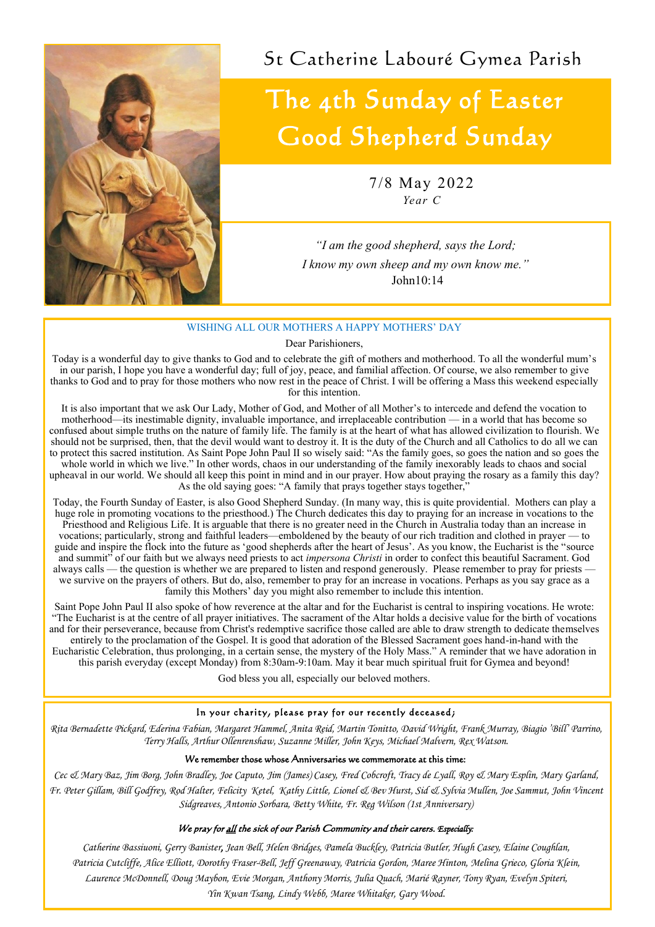*"I am the good shepherd, says the Lord; I know my own sheep and my own know me."* John10:14

#### WISHING ALL OUR MOTHERS A HAPPY MOTHERS' DAY

Dear Parishioners,

It is also important that we ask Our Lady, Mother of God, and Mother of all Mother's to intercede and defend the vocation to motherhood—its inestimable dignity, invaluable importance, and irreplaceable contribution — in a world that has become so confused about simple truths on the nature of family life. The family is at the heart of what has allowed civilization to flourish. We should not be surprised, then, that the devil would want to destroy it. It is the duty of the Church and all Catholics to do all we can to protect this sacred institution. As Saint Pope John Paul II so wisely said: "As the family goes, so goes the nation and so goes the whole world in which we live." In other words, chaos in our understanding of the family inexorably leads to chaos and social upheaval in our world. We should all keep this point in mind and in our prayer. How about praying the rosary as a family this day? As the old saying goes: "A family that prays together stays together,"

Today is a wonderful day to give thanks to God and to celebrate the gift of mothers and motherhood. To all the wonderful mum's in our parish, I hope you have a wonderful day; full of joy, peace, and familial affection. Of course, we also remember to give thanks to God and to pray for those mothers who now rest in the peace of Christ. I will be offering a Mass this weekend especially for this intention.

Today, the Fourth Sunday of Easter, is also Good Shepherd Sunday. (In many way, this is quite providential. Mothers can play a huge role in promoting vocations to the priesthood.) The Church dedicates this day to praying for an increase in vocations to the Priesthood and Religious Life. It is arguable that there is no greater need in the Church in Australia today than an increase in vocations; particularly, strong and faithful leaders—emboldened by the beauty of our rich tradition and clothed in prayer — to guide and inspire the flock into the future as 'good shepherds after the heart of Jesus'. As you know, the Eucharist is the "source and summit" of our faith but we always need priests to act *impersona Christi* in order to confect this beautiful Sacrament. God always calls — the question is whether we are prepared to listen and respond generously. Please remember to pray for priests we survive on the prayers of others. But do, also, remember to pray for an increase in vocations. Perhaps as you say grace as a family this Mothers' day you might also remember to include this intention.

Saint Pope John Paul II also spoke of how reverence at the altar and for the Eucharist is central to inspiring vocations. He wrote: "The Eucharist is at the centre of all prayer initiatives. The sacrament of the Altar holds a decisive value for the birth of vocations and for their perseverance, because from Christ's redemptive sacrifice those called are able to draw strength to dedicate themselves entirely to the proclamation of the Gospel. It is good that adoration of the Blessed Sacrament goes hand-in-hand with the Eucharistic Celebration, thus prolonging, in a certain sense, the mystery of the Holy Mass." A reminder that we have adoration in this parish everyday (except Monday) from 8:30am-9:10am. May it bear much spiritual fruit for Gymea and beyond!

God bless you all, especially our beloved mothers.

#### In your charity, please pray for our recently deceased;

*Rita Bernadette Pickard, Ederina Fabian, Margaret Hammel, Anita Reid, Martin Tonitto, David Wright, Frank Murray, Biagio 'Bill' Parrino, Terry Halls, Arthur Ollenrenshaw, Suzanne Miller, John Keys, Michael Malvern, Rex Watson.*

#### We remember those whose Anniversaries we commemorate at this time:

*Cec & Mary Baz, Jim Borg, John Bradley, Joe Caputo, Jim (James) Casey, Fred Cobcroft, Tracy de Lyall, Roy & Mary Esplin, Mary Garland, Fr. Peter Gillam, Bill Godfrey, Rod Halter, Felicity Ketel, Kathy Little, Lionel & Bev Hurst, Sid & Sylvia Mullen, Joe Sammut, John Vincent Sidgreaves, Antonio Sorbara, Betty White, Fr. Reg Wilson (1st Anniversary)*

#### We pray for all the sick of our Parish Community and their carers. *Especially:*

*Catherine Bassiuoni, Gerry Banister, Jean Bell, Helen Bridges, Pamela Buckley, Patricia Butler, Hugh Casey, Elaine Coughlan, Patricia Cutcliffe, Alice Elliott, Dorothy Fraser-Bell, Jeff Greenaway, Patricia Gordon, Maree Hinton, Melina Grieco, Gloria Klein, Laurence McDonnell, Doug Maybon, Evie Morgan, Anthony Morris, Julia Quach, Marié Rayner, Tony Ryan, Evelyn Spiteri, Yin Kwan Tsang, Lindy Webb, Maree Whitaker, Gary Wood.* 

# The 4th Sunday of Easter Good Shepherd Sunday

7/8 May 2022 *Year C*



St Catherine Labouré Gymea Parish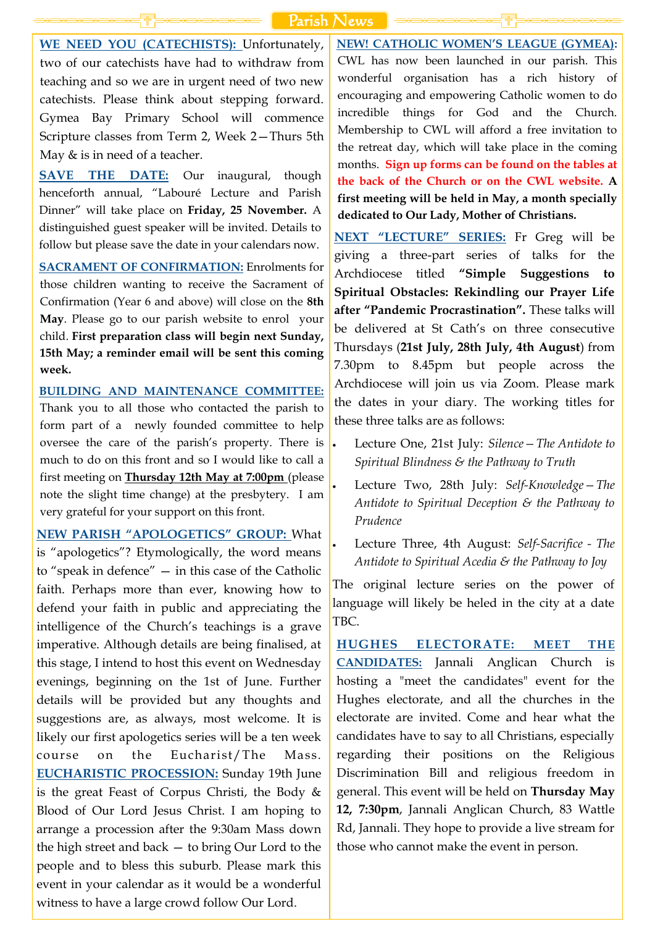**WE NEED YOU (CATECHISTS):** Unfortunately, two of our catechists have had to withdraw from teaching and so we are in urgent need of two new catechists. Please think about stepping forward. Gymea Bay Primary School will commence Scripture classes from Term 2, Week 2—Thurs 5th May & is in need of a teacher.

**SAVE THE DATE:** Our inaugural, though henceforth annual, "Labouré Lecture and Parish Dinner" will take place on **Friday, 25 November.** A distinguished guest speaker will be invited. Details to follow but please save the date in your calendars now.

**SACRAMENT OF CONFIRMATION:** Enrolments for those children wanting to receive the Sacrament of Confirmation (Year 6 and above) will close on the **8th May**. Please go to our parish website to enrol your child. **First preparation class will begin next Sunday, 15th May; a reminder email will be sent this coming week.**

**BUILDING AND MAINTENANCE COMMITTEE:** Thank you to all those who contacted the parish to form part of a newly founded committee to help oversee the care of the parish's property. There is  $\cdot$ much to do on this front and so I would like to call a first meeting on **Thursday 12th May at 7:00pm** (please note the slight time change) at the presbytery. I am very grateful for your support on this front.

**NEW PARISH "APOLOGETICS" GROUP:** What is "apologetics"? Etymologically, the word means to "speak in defence" — in this case of the Catholic faith. Perhaps more than ever, knowing how to defend your faith in public and appreciating the intelligence of the Church's teachings is a grave imperative. Although details are being finalised, at this stage, I intend to host this event on Wednesday evenings, beginning on the 1st of June. Further details will be provided but any thoughts and suggestions are, as always, most welcome. It is likely our first apologetics series will be a ten week course on the Eucharist/The Mass. **EUCHARISTIC PROCESSION:** Sunday 19th June is the great Feast of Corpus Christi, the Body & Blood of Our Lord Jesus Christ. I am hoping to arrange a procession after the 9:30am Mass down the high street and back — to bring Our Lord to the people and to bless this suburb. Please mark this event in your calendar as it would be a wonderful witness to have a large crowd follow Our Lord.

**NEW! CATHOLIC WOMEN'S LEAGUE (GYMEA):**  CWL has now been launched in our parish. This wonderful organisation has a rich history of encouraging and empowering Catholic women to do incredible things for God and the Church. Membership to CWL will afford a free invitation to the retreat day, which will take place in the coming months. **Sign up forms can be found on the tables at the back of the Church or on the CWL website. A first meeting will be held in May, a month specially dedicated to Our Lady, Mother of Christians.** 

**NEXT "LECTURE" SERIES:** Fr Greg will be giving a three-part series of talks for the Archdiocese titled **"Simple Suggestions to Spiritual Obstacles: Rekindling our Prayer Life after "Pandemic Procrastination".** These talks will be delivered at St Cath's on three consecutive Thursdays (**21st July, 28th July, 4th August**) from 7.30pm to 8.45pm but people across the Archdiocese will join us via Zoom. Please mark the dates in your diary. The working titles for these three talks are as follows:

- Lecture One, 21st July: *Silence—The Antidote to Spiritual Blindness & the Pathway to Truth*
- Lecture Two, 28th July: *Self-Knowledge—The Antidote to Spiritual Deception & the Pathway to Prudence*
- Lecture Three, 4th August: *Self-Sacrifice - The Antidote to Spiritual Acedia & the Pathway to Joy*

The original lecture series on the power of language will likely be heled in the city at a date TBC.

**HUGHES ELECTORATE: MEET THE CANDIDATES:** Jannali Anglican Church is hosting a "meet the candidates" event for the Hughes electorate, and all the churches in the electorate are invited. Come and hear what the candidates have to say to all Christians, especially regarding their positions on the Religious Discrimination Bill and religious freedom in general. This event will be held on **Thursday May 12, 7:30pm**, Jannali Anglican Church, 83 Wattle Rd, Jannali. They hope to provide a live stream for those who cannot make the event in person.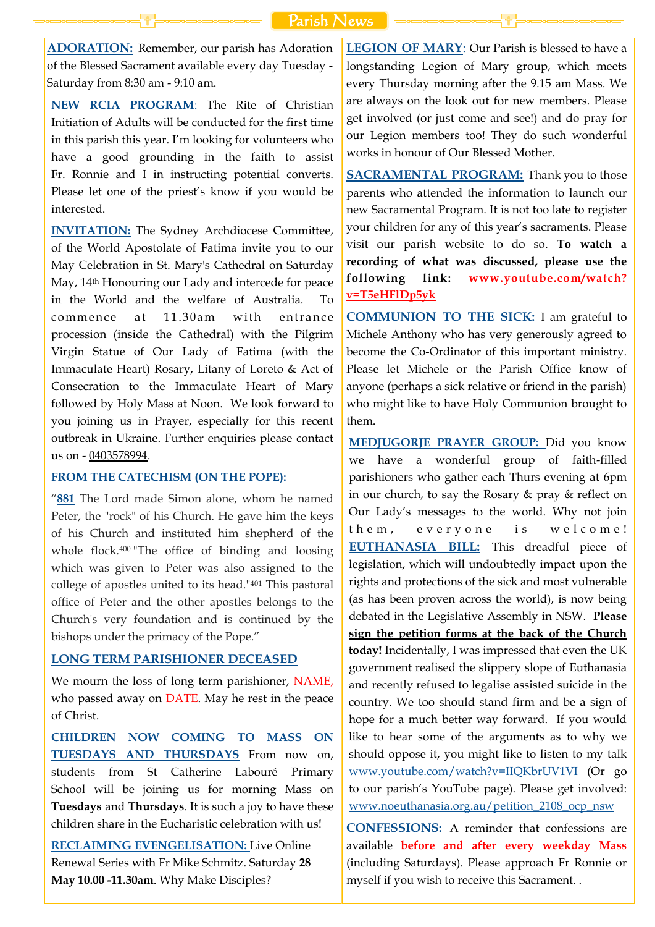**ADORATION:** Remember, our parish has Adoration of the Blessed Sacrament available every day Tuesday - Saturday from 8:30 am - 9:10 am.

**NEW RCIA PROGRAM**: The Rite of Christian Initiation of Adults will be conducted for the first time in this parish this year. I'm looking for volunteers who have a good grounding in the faith to assist Fr. Ronnie and I in instructing potential converts. Please let one of the priest's know if you would be interested.

**INVITATION:** The Sydney Archdiocese Committee, of the World Apostolate of Fatima invite you to our May Celebration in St. Mary's Cathedral on Saturday May, 14th Honouring our Lady and intercede for peace in the World and the welfare of Australia. To commence at 11.30am with entrance procession (inside the Cathedral) with the Pilgrim Virgin Statue of Our Lady of Fatima (with the Immaculate Heart) Rosary, Litany of Loreto & Act of Consecration to the Immaculate Heart of Mary followed by Holy Mass at Noon. We look forward to you joining us in Prayer, especially for this recent outbreak in Ukraine. Further enquiries please contact us on - [0403578994.](tel:0403578994)

#### **FROM THE CATECHISM (ON THE POPE):**

"**[881](javascript:openWindow()** The Lord made Simon alone, whom he named Peter, the "rock" of his Church. He gave him the keys of his Church and instituted him shepherd of the whole flock.<sup>400</sup> "The office of binding and loosing which was given to Peter was also assigned to the college of apostles united to its head."<sup>401</sup> This pastoral office of Peter and the other apostles belongs to the Church's very foundation and is continued by the bishops under the primacy of the Pope."

**SACRAMENTAL PROGRAM:** Thank you to those parents who attended the information to launch our new Sacramental Program. It is not too late to register your children for any of this year's sacraments. Please visit our parish website to do so. **To watch a recording of what was discussed, please use the following link: [www.youtube.com/watch?](http://www.youtube.com/watch?v=T5eHFlDp5yk) [v=T5eHFlDp5yk](http://www.youtube.com/watch?v=T5eHFlDp5yk)**

### **LONG TERM PARISHIONER DECEASED**

We mourn the loss of long term parishioner, NAME, who passed away on DATE. May he rest in the peace of Christ.

**CHILDREN NOW COMING TO MASS ON TUESDAYS AND THURSDAYS** From now on, students from St Catherine Labouré Primary School will be joining us for morning Mass on **Tuesdays** and **Thursdays**. It is such a joy to have these children share in the Eucharistic celebration with us!

**RECLAIMING EVENGELISATION:** Live Online Renewal Series with Fr Mike Schmitz. Saturday **28 May 10.00 -11.30am**. Why Make Disciples?

**LEGION OF MARY**: Our Parish is blessed to have a longstanding Legion of Mary group, which meets every Thursday morning after the 9.15 am Mass. We are always on the look out for new members. Please get involved (or just come and see!) and do pray for our Legion members too! They do such wonderful works in honour of Our Blessed Mother.

**COMMUNION TO THE SICK:** I am grateful to Michele Anthony who has very generously agreed to become the Co-Ordinator of this important ministry. Please let Michele or the Parish Office know of anyone (perhaps a sick relative or friend in the parish) who might like to have Holy Communion brought to them.

**MEDJUGORJE PRAYER GROUP:** Did you know we have a wonderful group of faith-filled parishioners who gather each Thurs evening at 6pm in our church, to say the Rosary & pray & reflect on Our Lady's messages to the world. Why not join them, everyone is welcome! **EUTHANASIA BILL:** This dreadful piece of legislation, which will undoubtedly impact upon the rights and protections of the sick and most vulnerable (as has been proven across the world), is now being debated in the Legislative Assembly in NSW. **Please sign the petition forms at the back of the Church today!** Incidentally, I was impressed that even the UK government realised the slippery slope of Euthanasia and recently refused to legalise assisted suicide in the country. We too should stand firm and be a sign of hope for a much better way forward. If you would like to hear some of the arguments as to why we should oppose it, you might like to listen to my talk [www.youtube.com/watch?v=IIQKbrUV1VI](http://www.youtube.com/watch?v=IIQKbrUV1VI) (Or go to our parish's YouTube page). Please get involved: [www.noeuthanasia.org.au/petition\\_2108\\_ocp\\_nsw](https://www.noeuthanasia.org.au/petition_2108_ocp_nsw?fbclid=IwAR18cRqaBaN1wLcM5iSon8wAcI_62vkMm1KVG0_zKy5ZPT0N2WgU8B87YYI) **CONFESSIONS:** A reminder that confessions are available **before and after every weekday Mass**

(including Saturdays). Please approach Fr Ronnie or

myself if you wish to receive this Sacrament. .